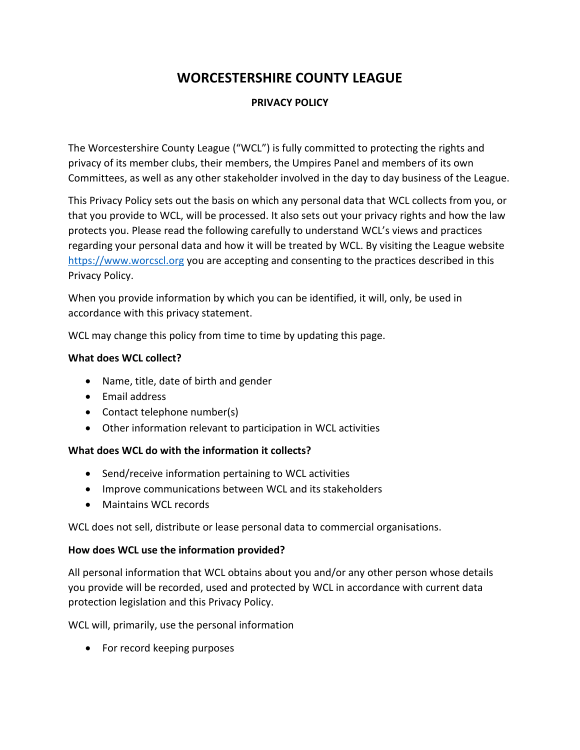# **WORCESTERSHIRE COUNTY LEAGUE**

# **PRIVACY POLICY**

The Worcestershire County League ("WCL") is fully committed to protecting the rights and privacy of its member clubs, their members, the Umpires Panel and members of its own Committees, as well as any other stakeholder involved in the day to day business of the League.

This Privacy Policy sets out the basis on which any personal data that WCL collects from you, or that you provide to WCL, will be processed. It also sets out your privacy rights and how the law protects you. Please read the following carefully to understand WCL's views and practices regarding your personal data and how it will be treated by WCL. By visiting the League website [https://www.worcscl.org](https://www.worcscl.org/) you are accepting and consenting to the practices described in this Privacy Policy.

When you provide information by which you can be identified, it will, only, be used in accordance with this privacy statement.

WCL may change this policy from time to time by updating this page.

# **What does WCL collect?**

- Name, title, date of birth and gender
- Email address
- Contact telephone number(s)
- Other information relevant to participation in WCL activities

## **What does WCL do with the information it collects?**

- Send/receive information pertaining to WCL activities
- Improve communications between WCL and its stakeholders
- Maintains WCL records

WCL does not sell, distribute or lease personal data to commercial organisations.

## **How does WCL use the information provided?**

All personal information that WCL obtains about you and/or any other person whose details you provide will be recorded, used and protected by WCL in accordance with current data protection legislation and this Privacy Policy.

WCL will, primarily, use the personal information

• For record keeping purposes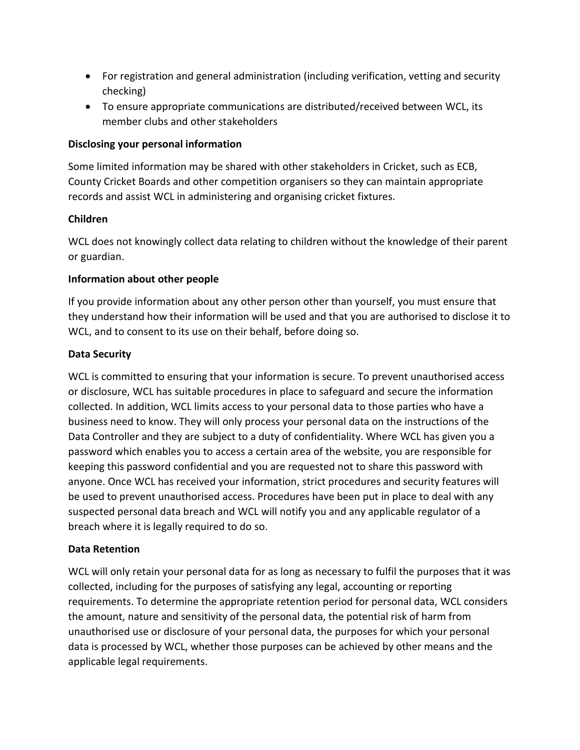- For registration and general administration (including verification, vetting and security checking)
- To ensure appropriate communications are distributed/received between WCL, its member clubs and other stakeholders

## **Disclosing your personal information**

Some limited information may be shared with other stakeholders in Cricket, such as ECB, County Cricket Boards and other competition organisers so they can maintain appropriate records and assist WCL in administering and organising cricket fixtures.

# **Children**

WCL does not knowingly collect data relating to children without the knowledge of their parent or guardian.

# **Information about other people**

If you provide information about any other person other than yourself, you must ensure that they understand how their information will be used and that you are authorised to disclose it to WCL, and to consent to its use on their behalf, before doing so.

# **Data Security**

WCL is committed to ensuring that your information is secure. To prevent unauthorised access or disclosure, WCL has suitable procedures in place to safeguard and secure the information collected. In addition, WCL limits access to your personal data to those parties who have a business need to know. They will only process your personal data on the instructions of the Data Controller and they are subject to a duty of confidentiality. Where WCL has given you a password which enables you to access a certain area of the website, you are responsible for keeping this password confidential and you are requested not to share this password with anyone. Once WCL has received your information, strict procedures and security features will be used to prevent unauthorised access. Procedures have been put in place to deal with any suspected personal data breach and WCL will notify you and any applicable regulator of a breach where it is legally required to do so.

## **Data Retention**

WCL will only retain your personal data for as long as necessary to fulfil the purposes that it was collected, including for the purposes of satisfying any legal, accounting or reporting requirements. To determine the appropriate retention period for personal data, WCL considers the amount, nature and sensitivity of the personal data, the potential risk of harm from unauthorised use or disclosure of your personal data, the purposes for which your personal data is processed by WCL, whether those purposes can be achieved by other means and the applicable legal requirements.